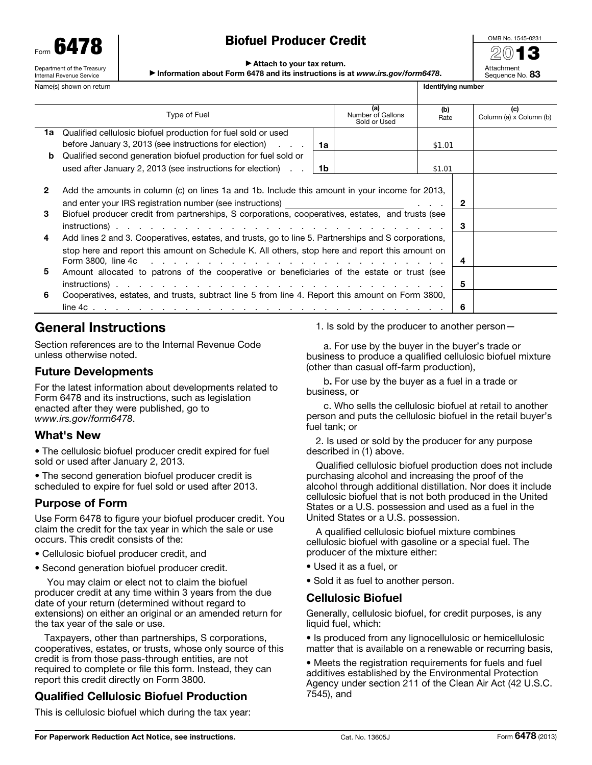Form 6479 Department of the Treasury Internal Revenue Service

# Biofuel Producer Credit

| OMB No. 1545-0231             |  |  |  |  |  |
|-------------------------------|--|--|--|--|--|
| 201                           |  |  |  |  |  |
| Attachment<br>Sequence No. 83 |  |  |  |  |  |

#### ▶ Attach to your tax return.

▶ Information about Form 6478 and its instructions is at *www.irs.gov/form6478*.

|                   | Name(s) shown on return                                                                                                                                                                                                                                          |    |                                          | Identifying number |        |                                |
|-------------------|------------------------------------------------------------------------------------------------------------------------------------------------------------------------------------------------------------------------------------------------------------------|----|------------------------------------------|--------------------|--------|--------------------------------|
|                   | <b>Type of Fuel</b>                                                                                                                                                                                                                                              |    | (a)<br>Number of Gallons<br>Sold or Used | (b)<br>Rate        |        | (c)<br>Column (a) x Column (b) |
|                   | 1a Qualified cellulosic biofuel production for fuel sold or used                                                                                                                                                                                                 |    |                                          |                    |        |                                |
|                   | before January 3, 2013 (see instructions for election) $\ldots$                                                                                                                                                                                                  | 1a |                                          | \$1.01             |        |                                |
| b                 | Qualified second generation biofuel production for fuel sold or                                                                                                                                                                                                  |    |                                          |                    |        |                                |
|                   | used after January 2, 2013 (see instructions for election)                                                                                                                                                                                                       | 1b |                                          | \$1.01             |        |                                |
| $\mathbf{2}$<br>3 | Add the amounts in column (c) on lines 1a and 1b. Include this amount in your income for 2013,<br>and enter your IRS registration number (see instructions)<br>Biofuel producer credit from partnerships, S corporations, cooperatives, estates, and trusts (see |    |                                          |                    | 2<br>3 |                                |
|                   | 4<br>Add lines 2 and 3. Cooperatives, estates, and trusts, go to line 5. Partnerships and S corporations,<br>stop here and report this amount on Schedule K. All others, stop here and report this amount on<br>4                                                |    |                                          |                    |        |                                |
| 5                 | Amount allocated to patrons of the cooperative or beneficiaries of the estate or trust (see                                                                                                                                                                      |    |                                          |                    |        |                                |
|                   |                                                                                                                                                                                                                                                                  |    |                                          |                    | 5      |                                |
| 6                 | Cooperatives, estates, and trusts, subtract line 5 from line 4. Report this amount on Form 3800,                                                                                                                                                                 |    |                                          |                    |        |                                |
|                   |                                                                                                                                                                                                                                                                  |    |                                          |                    | 6      |                                |

# General Instructions

Section references are to the Internal Revenue Code unless otherwise noted.

# Future Developments

For the latest information about developments related to Form 6478 and its instructions, such as legislation enacted after they were published, go to *www.irs.gov/form6478*.

# What's New

• The cellulosic biofuel producer credit expired for fuel sold or used after January 2, 2013.

• The second generation biofuel producer credit is scheduled to expire for fuel sold or used after 2013.

# Purpose of Form

Use Form 6478 to figure your biofuel producer credit. You claim the credit for the tax year in which the sale or use occurs. This credit consists of the:

- Cellulosic biofuel producer credit, and
- Second generation biofuel producer credit.

 You may claim or elect not to claim the biofuel producer credit at any time within 3 years from the due date of your return (determined without regard to extensions) on either an original or an amended return for the tax year of the sale or use.

Taxpayers, other than partnerships, S corporations, cooperatives, estates, or trusts, whose only source of this credit is from those pass-through entities, are not required to complete or file this form. Instead, they can report this credit directly on Form 3800.

# Qualified Cellulosic Biofuel Production

This is cellulosic biofuel which during the tax year:

1. Is sold by the producer to another person—

a. For use by the buyer in the buyer's trade or business to produce a qualified cellulosic biofuel mixture (other than casual off-farm production),

b. For use by the buyer as a fuel in a trade or business, or

c. Who sells the cellulosic biofuel at retail to another person and puts the cellulosic biofuel in the retail buyer's fuel tank; or

2. Is used or sold by the producer for any purpose described in (1) above.

Qualified cellulosic biofuel production does not include purchasing alcohol and increasing the proof of the alcohol through additional distillation. Nor does it include cellulosic biofuel that is not both produced in the United States or a U.S. possession and used as a fuel in the United States or a U.S. possession.

A qualified cellulosic biofuel mixture combines cellulosic biofuel with gasoline or a special fuel. The producer of the mixture either:

- Used it as a fuel, or
- Sold it as fuel to another person.

# Cellulosic Biofuel

Generally, cellulosic biofuel, for credit purposes, is any liquid fuel, which:

• Is produced from any lignocellulosic or hemicellulosic matter that is available on a renewable or recurring basis,

• Meets the registration requirements for fuels and fuel additives established by the Environmental Protection Agency under section 211 of the Clean Air Act (42 U.S.C. 7545), and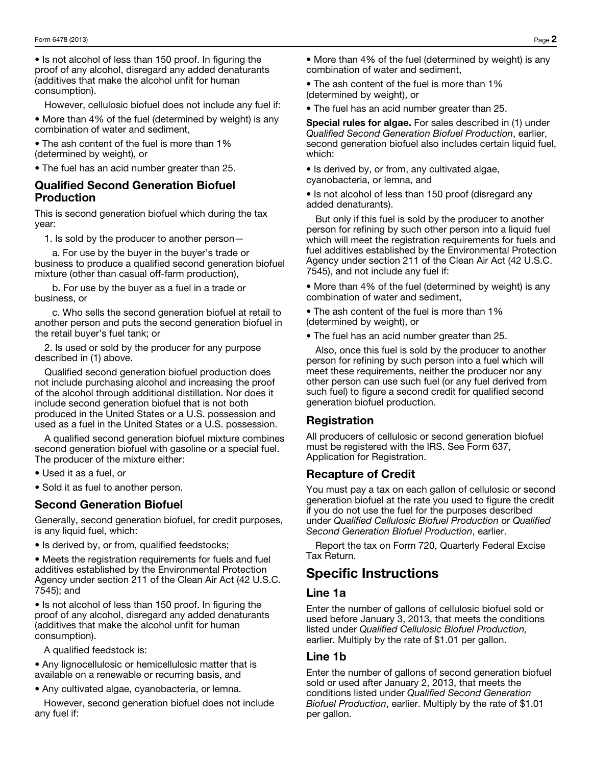• Is not alcohol of less than 150 proof. In figuring the proof of any alcohol, disregard any added denaturants (additives that make the alcohol unfit for human consumption).

However, cellulosic biofuel does not include any fuel if:

• More than 4% of the fuel (determined by weight) is any combination of water and sediment,

• The ash content of the fuel is more than 1% (determined by weight), or

• The fuel has an acid number greater than 25.

### Qualified Second Generation Biofuel Production

This is second generation biofuel which during the tax year:

1. Is sold by the producer to another person—

a. For use by the buyer in the buyer's trade or business to produce a qualified second generation biofuel mixture (other than casual off-farm production),

b. For use by the buyer as a fuel in a trade or business, or

c. Who sells the second generation biofuel at retail to another person and puts the second generation biofuel in the retail buyer's fuel tank; or

2. Is used or sold by the producer for any purpose described in (1) above.

Qualified second generation biofuel production does not include purchasing alcohol and increasing the proof of the alcohol through additional distillation. Nor does it include second generation biofuel that is not both produced in the United States or a U.S. possession and used as a fuel in the United States or a U.S. possession.

A qualified second generation biofuel mixture combines second generation biofuel with gasoline or a special fuel. The producer of the mixture either:

• Used it as a fuel, or

• Sold it as fuel to another person.

#### Second Generation Biofuel

Generally, second generation biofuel, for credit purposes, is any liquid fuel, which:

• Is derived by, or from, qualified feedstocks;

• Meets the registration requirements for fuels and fuel additives established by the Environmental Protection Agency under section 211 of the Clean Air Act (42 U.S.C. 7545); and

• Is not alcohol of less than 150 proof. In figuring the proof of any alcohol, disregard any added denaturants (additives that make the alcohol unfit for human consumption).

A qualified feedstock is:

• Any lignocellulosic or hemicellulosic matter that is available on a renewable or recurring basis, and

• Any cultivated algae, cyanobacteria, or lemna.

However, second generation biofuel does not include any fuel if:

• More than 4% of the fuel (determined by weight) is any combination of water and sediment,

• The ash content of the fuel is more than 1% (determined by weight), or

• The fuel has an acid number greater than 25.

Special rules for algae. For sales described in (1) under *Qualified Second Generation Biofuel Production*, earlier, second generation biofuel also includes certain liquid fuel, which:

• Is derived by, or from, any cultivated algae, cyanobacteria, or lemna, and

• Is not alcohol of less than 150 proof (disregard any added denaturants).

But only if this fuel is sold by the producer to another person for refining by such other person into a liquid fuel which will meet the registration requirements for fuels and fuel additives established by the Environmental Protection Agency under section 211 of the Clean Air Act (42 U.S.C. 7545), and not include any fuel if:

• More than 4% of the fuel (determined by weight) is any combination of water and sediment,

• The ash content of the fuel is more than 1% (determined by weight), or

• The fuel has an acid number greater than 25.

Also, once this fuel is sold by the producer to another person for refining by such person into a fuel which will meet these requirements, neither the producer nor any other person can use such fuel (or any fuel derived from such fuel) to figure a second credit for qualified second generation biofuel production.

# Registration

All producers of cellulosic or second generation biofuel must be registered with the IRS. See Form 637, Application for Registration.

#### Recapture of Credit

You must pay a tax on each gallon of cellulosic or second generation biofuel at the rate you used to figure the credit if you do not use the fuel for the purposes described under *Qualified Cellulosic Biofuel Production* or *Qualified Second Generation Biofuel Production*, earlier.

Report the tax on Form 720, Quarterly Federal Excise Tax Return.

# Specific Instructions

#### Line 1a

Enter the number of gallons of cellulosic biofuel sold or used before January 3, 2013, that meets the conditions listed under *Qualified Cellulosic Biofuel Production,*  earlier. Multiply by the rate of \$1.01 per gallon.

#### Line 1b

Enter the number of gallons of second generation biofuel sold or used after January 2, 2013, that meets the conditions listed under *Qualified Second Generation Biofuel Production*, earlier. Multiply by the rate of \$1.01 per gallon.